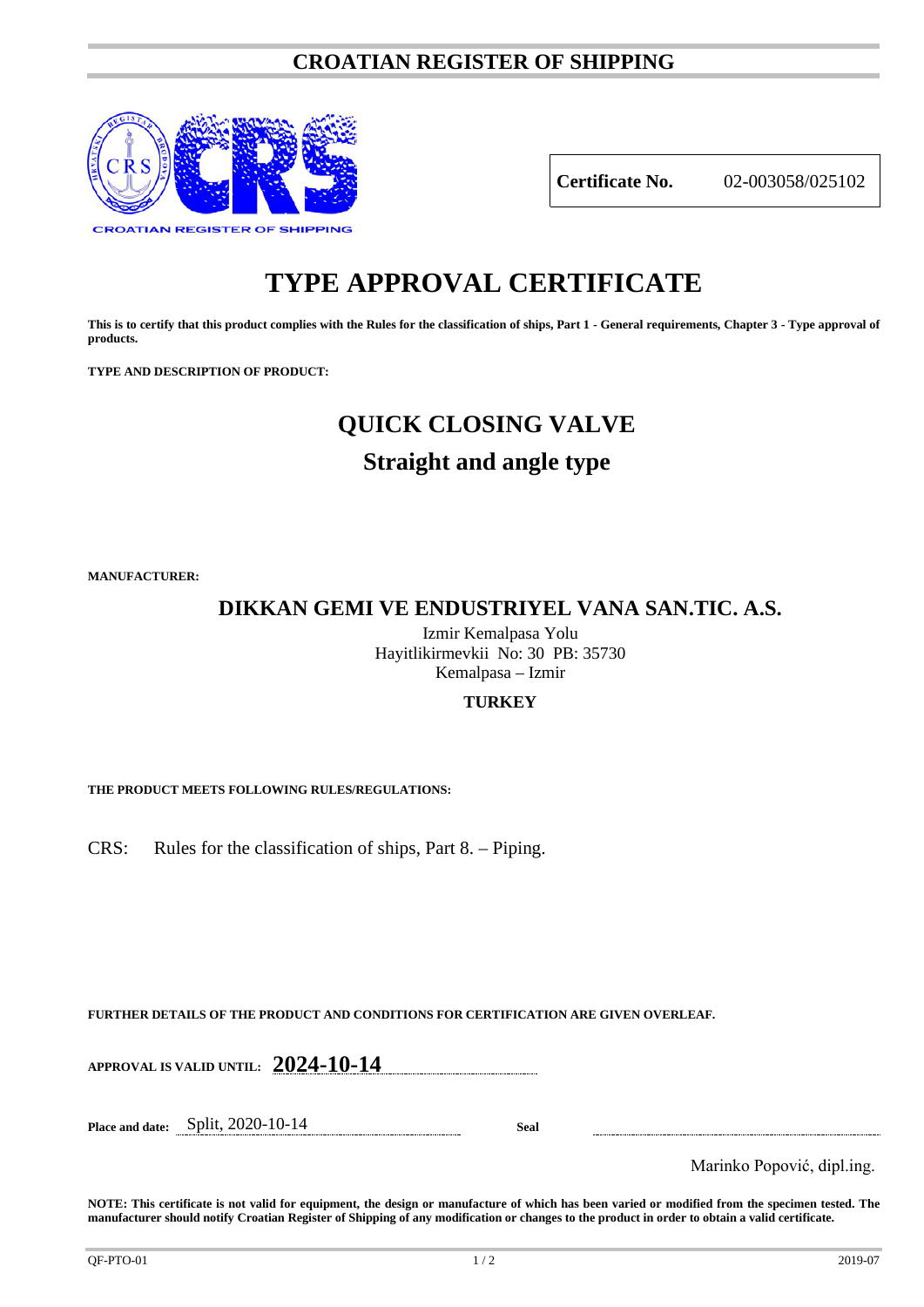### **CROATIAN REGISTER OF SHIPPING**



**Certificate No.** 02-003058/025102

# **TYPE APPROVAL CERTIFICATE**

**This is to certify that this product complies with the Rules for the classification of ships, Part 1 - General requirements, Chapter 3 - Type approval of products.**

**TYPE AND DESCRIPTION OF PRODUCT:** 

# **QUICK CLOSING VALVE**

## **Straight and angle type**

**MANUFACTURER:**

**DIKKAN GEMI VE ENDUSTRIYEL VANA SAN.TIC. A.S.**

Izmir Kemalpasa Yolu Hayitlikirmevkii No: 30 PB: 35730 Kemalpasa – Izmir

#### **TURKEY**

**THE PRODUCT MEETS FOLLOWING RULES/REGULATIONS:**

CRS: Rules for the classification of ships, Part 8. – Piping.

**FURTHER DETAILS OF THE PRODUCT AND CONDITIONS FOR CERTIFICATION ARE GIVEN OVERLEAF.**

**APPROVAL IS VALID UNTIL: 2024-10-14**

**Place and date:** Split, 2020-10-14 **Seal**

Marinko Popović, dipl.ing.

**NOTE: This certificate is not valid for equipment, the design or manufacture of which has been varied or modified from the specimen tested. The manufacturer should notify Croatian Register of Shipping of any modification or changes to the product in order to obtain a valid certificate.**